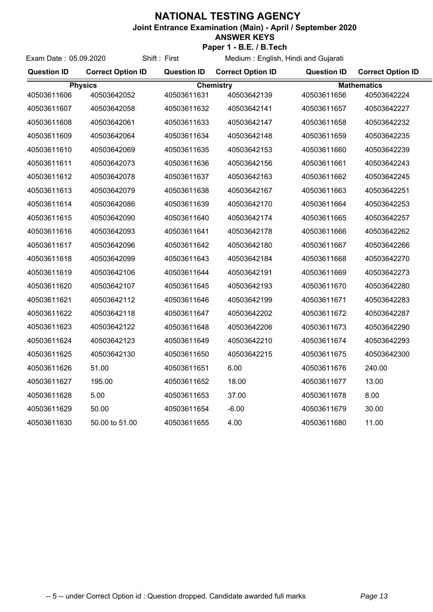## **NATIONAL TESTING AGENCY**

Exam Date : 05.09.2020 Shift : First

**Joint Entrance Examination (Main) - April / September 2020**

## **ANSWER KEYS**

**Paper 1 - B.E. / B.Tech**

Medium : English, Hindi and Gujarati

| <b>Question ID</b> | <b>Correct Option ID</b> | <b>Question ID</b> | <b>Correct Option ID</b> | <b>Question ID</b> | <b>Correct Option ID</b> |  |
|--------------------|--------------------------|--------------------|--------------------------|--------------------|--------------------------|--|
| <b>Physics</b>     |                          | <b>Chemistry</b>   |                          |                    | <b>Mathematics</b>       |  |
| 40503611606        | 40503642052              | 40503611631        | 40503642139              | 40503611656        | 40503642224              |  |
| 40503611607        | 40503642058              | 40503611632        | 40503642141              | 40503611657        | 40503642227              |  |
| 40503611608        | 40503642061              | 40503611633        | 40503642147              | 40503611658        | 40503642232              |  |
| 40503611609        | 40503642064              | 40503611634        | 40503642148              | 40503611659        | 40503642235              |  |
| 40503611610        | 40503642069              | 40503611635        | 40503642153              | 40503611660        | 40503642239              |  |
| 40503611611        | 40503642073              | 40503611636        | 40503642156              | 40503611661        | 40503642243              |  |
| 40503611612        | 40503642078              | 40503611637        | 40503642163              | 40503611662        | 40503642245              |  |
| 40503611613        | 40503642079              | 40503611638        | 40503642167              | 40503611663        | 40503642251              |  |
| 40503611614        | 40503642086              | 40503611639        | 40503642170              | 40503611664        | 40503642253              |  |
| 40503611615        | 40503642090              | 40503611640        | 40503642174              | 40503611665        | 40503642257              |  |
| 40503611616        | 40503642093              | 40503611641        | 40503642178              | 40503611666        | 40503642262              |  |
| 40503611617        | 40503642096              | 40503611642        | 40503642180              | 40503611667        | 40503642266              |  |
| 40503611618        | 40503642099              | 40503611643        | 40503642184              | 40503611668        | 40503642270              |  |
| 40503611619        | 40503642106              | 40503611644        | 40503642191              | 40503611669        | 40503642273              |  |
| 40503611620        | 40503642107              | 40503611645        | 40503642193              | 40503611670        | 40503642280              |  |
| 40503611621        | 40503642112              | 40503611646        | 40503642199              | 40503611671        | 40503642283              |  |
| 40503611622        | 40503642118              | 40503611647        | 40503642202              | 40503611672        | 40503642287              |  |
| 40503611623        | 40503642122              | 40503611648        | 40503642206              | 40503611673        | 40503642290              |  |
| 40503611624        | 40503642123              | 40503611649        | 40503642210              | 40503611674        | 40503642293              |  |
| 40503611625        | 40503642130              | 40503611650        | 40503642215              | 40503611675        | 40503642300              |  |
| 40503611626        | 51.00                    | 40503611651        | 6.00                     | 40503611676        | 240.00                   |  |
| 40503611627        | 195.00                   | 40503611652        | 18.00                    | 40503611677        | 13.00                    |  |
| 40503611628        | 5.00                     | 40503611653        | 37.00                    | 40503611678        | 8.00                     |  |
| 40503611629        | 50.00                    | 40503611654        | $-6.00$                  | 40503611679        | 30.00                    |  |
| 40503611630        | 50.00 to 51.00           | 40503611655        | 4.00                     | 40503611680        | 11.00                    |  |